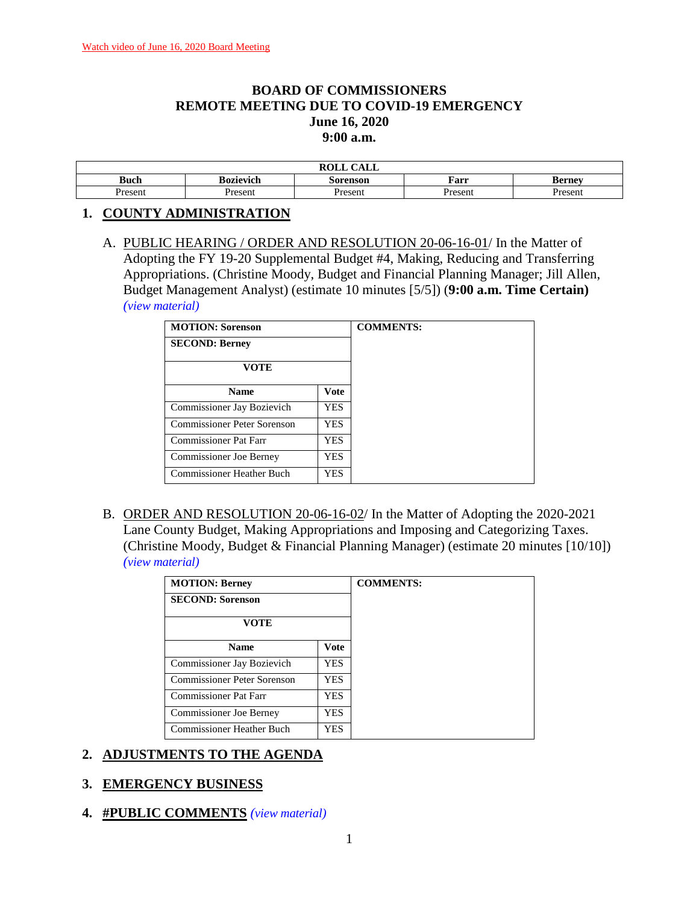## **BOARD OF COMMISSIONERS REMOTE MEETING DUE TO COVID-19 EMERGENCY June 16, 2020 9:00 a.m.**

|             |                  | $C$ a $T$ $T$<br>ROLL<br>- CALL |         |               |
|-------------|------------------|---------------------------------|---------|---------------|
| <b>Buch</b> | <b>Bozievich</b> | Sorenson                        | Farr    | <b>Bernev</b> |
| Present     | Present          | Present                         | Present | resent        |

### **1. COUNTY ADMINISTRATION**

A. PUBLIC HEARING / ORDER AND RESOLUTION 20-06-16-01/ In the Matter of Adopting the FY 19-20 Supplemental Budget #4, Making, Reducing and Transferring Appropriations. (Christine Moody, Budget and Financial Planning Manager; Jill Allen, Budget Management Analyst) (estimate 10 minutes [5/5]) (**9:00 a.m. Time Certain)** *(view [material\)](http://www.lanecountyor.gov/UserFiles/Servers/Server_3585797/File/Government/BCC/2020/2020_AGENDAS/061620agenda/T.1.A.pdf)*

| <b>MOTION: Sorenson</b>            |             | <b>COMMENTS:</b> |
|------------------------------------|-------------|------------------|
| <b>SECOND: Berney</b>              |             |                  |
| <b>VOTE</b>                        |             |                  |
| <b>Name</b>                        | <b>Vote</b> |                  |
| Commissioner Jay Bozievich         | YES         |                  |
| <b>Commissioner Peter Sorenson</b> | YES.        |                  |
| <b>Commissioner Pat Farr</b>       | YES.        |                  |
| <b>Commissioner Joe Berney</b>     | YES.        |                  |
| <b>Commissioner Heather Buch</b>   | YES.        |                  |

B. ORDER AND RESOLUTION 20-06-16-02/ In the Matter of Adopting the 2020-2021 Lane County Budget, Making Appropriations and Imposing and Categorizing Taxes. (Christine Moody, Budget & Financial Planning Manager) (estimate 20 minutes [10/10]) *(view [material\)](http://www.lanecountyor.gov/UserFiles/Servers/Server_3585797/File/Government/BCC/2020/2020_AGENDAS/061620agenda/T.1.B.pdf)*

| <b>MOTION: Berney</b>              |            |
|------------------------------------|------------|
| <b>SECOND: Sorenson</b>            |            |
| <b>VOTE</b>                        |            |
| <b>Name</b>                        | Vote       |
| Commissioner Jay Bozievich         | <b>YES</b> |
| <b>Commissioner Peter Sorenson</b> | <b>YES</b> |
| <b>Commissioner Pat Farr</b>       | <b>YES</b> |
| <b>Commissioner Joe Berney</b>     | <b>YES</b> |
| Commissioner Heather Buch          | <b>YES</b> |

### **2. ADJUSTMENTS TO THE AGENDA**

### **3. EMERGENCY BUSINESS**

**4. #PUBLIC COMMENTS** *(view [material\)](http://www.lanecountyor.gov/UserFiles/Servers/Server_3585797/File/Government/BCC/2020/2020_AGENDAS/061620agenda/T.4.pdf)*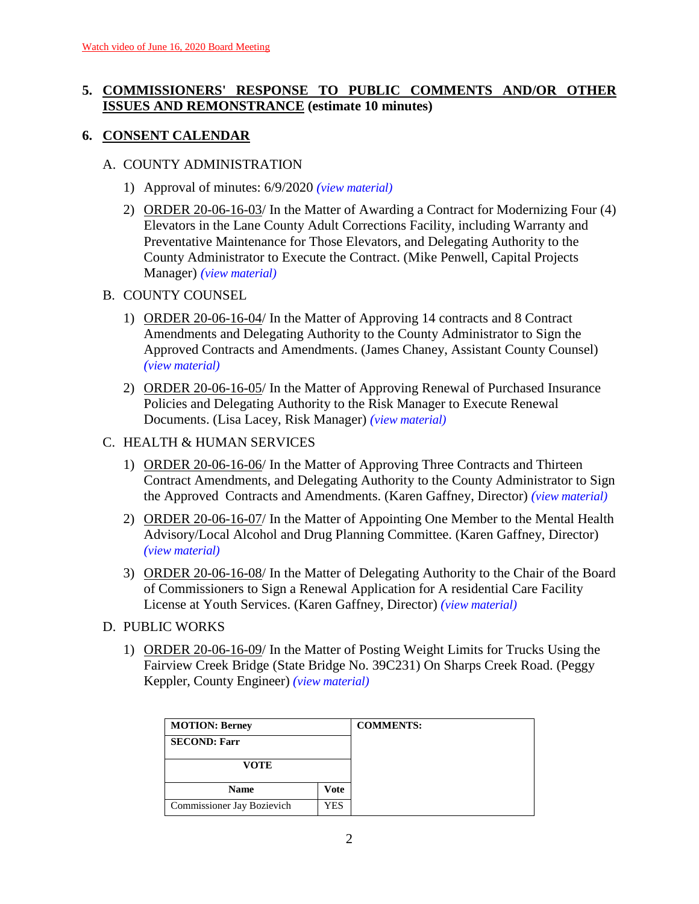# **5. COMMISSIONERS' RESPONSE TO PUBLIC COMMENTS AND/OR OTHER ISSUES AND REMONSTRANCE (estimate 10 minutes)**

# **6. CONSENT CALENDAR**

### A. COUNTY ADMINISTRATION

- 1) Approval of minutes: 6/9/2020 *(view [material\)](http://www.lanecountyor.gov/UserFiles/Servers/Server_3585797/File/Government/BCC/2020/2020_AGENDAS/061620agenda/T.6.A.1.pdf)*
- 2) ORDER 20-06-16-03/ In the Matter of Awarding a Contract for Modernizing Four (4) Elevators in the Lane County Adult Corrections Facility, including Warranty and Preventative Maintenance for Those Elevators, and Delegating Authority to the County Administrator to Execute the Contract. (Mike Penwell, Capital Projects Manager) *(view [material\)](http://www.lanecountyor.gov/UserFiles/Servers/Server_3585797/File/Government/BCC/2020/2020_AGENDAS/061620agenda/T.6.A.2.pdf)*
- B. COUNTY COUNSEL
	- 1) ORDER 20-06-16-04/ In the Matter of Approving 14 contracts and 8 Contract Amendments and Delegating Authority to the County Administrator to Sign the Approved Contracts and Amendments. (James Chaney, Assistant County Counsel) *(view [material\)](http://www.lanecountyor.gov/UserFiles/Servers/Server_3585797/File/Government/BCC/2020/2020_AGENDAS/061620agenda/T.6.B.1.pdf)*
	- 2) ORDER 20-06-16-05/ In the Matter of Approving Renewal of Purchased Insurance Policies and Delegating Authority to the Risk Manager to Execute Renewal Documents. (Lisa Lacey, Risk Manager) *(view [material\)](http://www.lanecountyor.gov/UserFiles/Servers/Server_3585797/File/Government/BCC/2020/2020_AGENDAS/061620agenda/T.6.B.2.pdf)*
- C. HEALTH & HUMAN SERVICES
	- 1) ORDER 20-06-16-06/ In the Matter of Approving Three Contracts and Thirteen Contract Amendments, and Delegating Authority to the County Administrator to Sign the Approved Contracts and Amendments. (Karen Gaffney, Director) *(view [material\)](http://www.lanecountyor.gov/UserFiles/Servers/Server_3585797/File/Government/BCC/2020/2020_AGENDAS/061620agenda/T.6.C.1.pdf)*
	- 2) ORDER 20-06-16-07/ In the Matter of Appointing One Member to the Mental Health Advisory/Local Alcohol and Drug Planning Committee. (Karen Gaffney, Director) *(view [material\)](http://www.lanecountyor.gov/UserFiles/Servers/Server_3585797/File/Government/BCC/2020/2020_AGENDAS/061620agenda/T.6.C.2.pdf)*
	- 3) ORDER 20-06-16-08/ In the Matter of Delegating Authority to the Chair of the Board of Commissioners to Sign a Renewal Application for A residential Care Facility License at Youth Services. (Karen Gaffney, Director) *(view [material\)](http://www.lanecountyor.gov/UserFiles/Servers/Server_3585797/File/Government/BCC/2020/2020_AGENDAS/061620agenda/T.6.C.3.pdf)*
- D. PUBLIC WORKS
	- 1) ORDER 20-06-16-09/ In the Matter of Posting Weight Limits for Trucks Using the Fairview Creek Bridge (State Bridge No. 39C231) On Sharps Creek Road. (Peggy Keppler, County Engineer) *(view [material\)](http://www.lanecountyor.gov/UserFiles/Servers/Server_3585797/File/Government/BCC/2020/2020_AGENDAS/061620agenda/T.6.D.1.pdf)*

| <b>MOTION: Berney</b>      |      | <b>COMMENTS:</b> |
|----------------------------|------|------------------|
| <b>SECOND: Farr</b>        |      |                  |
| <b>VOTE</b>                |      |                  |
| <b>Name</b>                | Vote |                  |
| Commissioner Jay Bozievich | YES  |                  |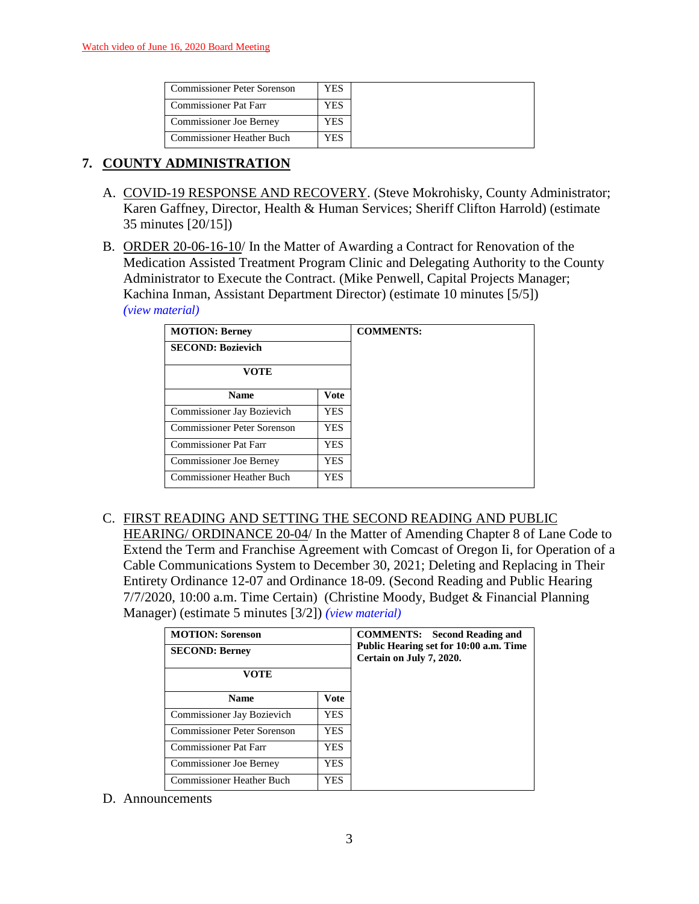| <b>Commissioner Peter Sorenson</b> | YES  |
|------------------------------------|------|
| <b>Commissioner Pat Farr</b>       | YES. |
| Commissioner Joe Berney            | YES  |
| <b>Commissioner Heather Buch</b>   | YES  |

# **7. COUNTY ADMINISTRATION**

- A. COVID-19 RESPONSE AND RECOVERY. (Steve Mokrohisky, County Administrator; Karen Gaffney, Director, Health & Human Services; Sheriff Clifton Harrold) (estimate 35 minutes [20/15])
- B. ORDER 20-06-16-10/ In the Matter of Awarding a Contract for Renovation of the Medication Assisted Treatment Program Clinic and Delegating Authority to the County Administrator to Execute the Contract. (Mike Penwell, Capital Projects Manager; Kachina Inman, Assistant Department Director) (estimate 10 minutes [5/5]) *(view [material\)](http://www.lanecountyor.gov/UserFiles/Servers/Server_3585797/File/Government/BCC/2020/2020_AGENDAS/061620agenda/T.7.B.pdf)*

| <b>MOTION: Berney</b>              |             | <b>COMMENTS:</b> |
|------------------------------------|-------------|------------------|
| <b>SECOND: Bozievich</b>           |             |                  |
| <b>VOTE</b>                        |             |                  |
| <b>Name</b>                        | <b>Vote</b> |                  |
| Commissioner Jay Bozievich         | <b>YES</b>  |                  |
| <b>Commissioner Peter Sorenson</b> | YES.        |                  |
| Commissioner Pat Farr              | YES.        |                  |
| <b>Commissioner Joe Berney</b>     | YES.        |                  |
| Commissioner Heather Buch          | YES.        |                  |

C. FIRST READING AND SETTING THE SECOND READING AND PUBLIC HEARING/ ORDINANCE 20-04/ In the Matter of Amending Chapter 8 of Lane Code to Extend the Term and Franchise Agreement with Comcast of Oregon Ii, for Operation of a Cable Communications System to December 30, 2021; Deleting and Replacing in Their Entirety Ordinance 12-07 and Ordinance 18-09. (Second Reading and Public Hearing 7/7/2020, 10:00 a.m. Time Certain) (Christine Moody, Budget & Financial Planning

Manager) (estimate 5 minutes [3/2]) *(view [material\)](http://www.lanecountyor.gov/UserFiles/Servers/Server_3585797/File/Government/BCC/2020/2020_AGENDAS/061620agenda/T.7.C.pdf)*

| <b>MOTION: Sorenson</b><br><b>SECOND: Berney</b><br>VOTE |            | <b>COMMENTS:</b> Second Reading and<br>Public Hearing set for 10:00 a.m. Time<br>Certain on July 7, 2020. |
|----------------------------------------------------------|------------|-----------------------------------------------------------------------------------------------------------|
| <b>Name</b>                                              | Vote       |                                                                                                           |
| Commissioner Jay Bozievich                               | YES.       |                                                                                                           |
| Commissioner Peter Sorenson                              | <b>YES</b> |                                                                                                           |
| <b>Commissioner Pat Farr</b>                             | YES.       |                                                                                                           |
| <b>Commissioner Joe Berney</b>                           | <b>YES</b> |                                                                                                           |
| <b>Commissioner Heather Buch</b>                         | YES        |                                                                                                           |

D. Announcements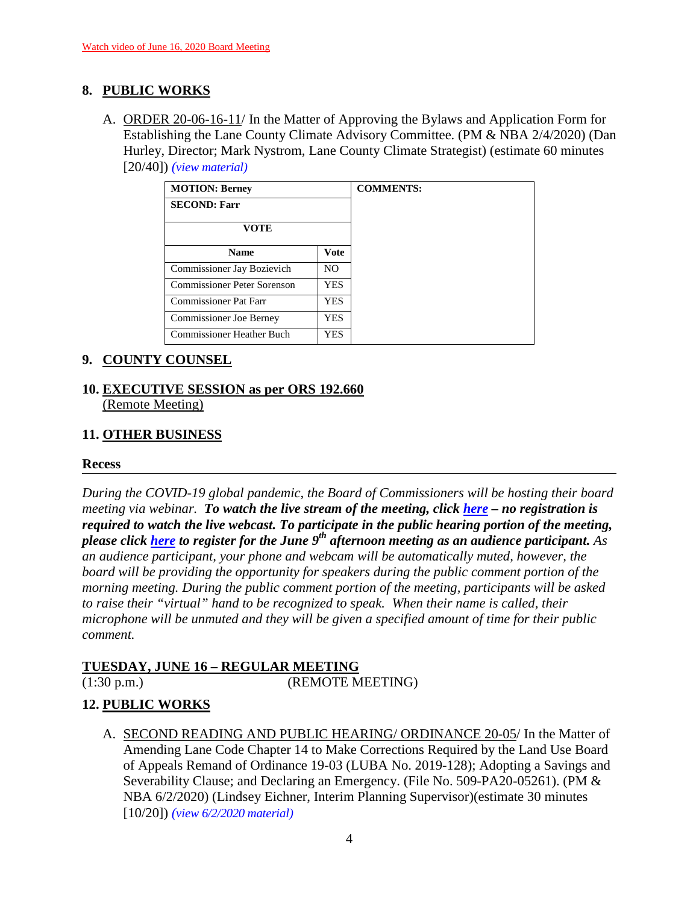# **8. PUBLIC WORKS**

A. ORDER 20-06-16-11/ In the Matter of Approving the Bylaws and Application Form for Establishing the Lane County Climate Advisory Committee. (PM & NBA 2/4/2020) (Dan Hurley, Director; Mark Nystrom, Lane County Climate Strategist) (estimate 60 minutes [20/40]) *(view [material\)](http://www.lanecountyor.gov/UserFiles/Servers/Server_3585797/File/Government/BCC/2020/2020_AGENDAS/061620agenda/T.8.A.pdf)*

| <b>MOTION: Berney</b>              |                | <b>COMMENTS:</b> |
|------------------------------------|----------------|------------------|
| <b>SECOND: Farr</b>                |                |                  |
| <b>VOTE</b>                        |                |                  |
| <b>Name</b>                        | Vote           |                  |
| Commissioner Jay Bozievich         | N <sub>O</sub> |                  |
| <b>Commissioner Peter Sorenson</b> | YES.           |                  |
| Commissioner Pat Farr              | <b>YES</b>     |                  |
| <b>Commissioner Joe Berney</b>     | YES            |                  |
| <b>Commissioner Heather Buch</b>   | YES.           |                  |

## **9. COUNTY COUNSEL**

### **10. EXECUTIVE SESSION as per ORS 192.660** (Remote Meeting)

# **11. OTHER BUSINESS**

### **Recess**

*During the COVID-19 global pandemic, the Board of Commissioners will be hosting their board meeting via webinar. To watch the live stream of the meeting, click [here](https://lanecounty.org/cms/One.aspx?portalId=3585881&pageId=7842434) – no registration is required to watch the live webcast. To participate in the public hearing portion of the meeting, please click [here](https://lanecounty.wufoo.com/forms/qtfx6g704gm958/) to register for the June 9th afternoon meeting as an audience participant. As an audience participant, your phone and webcam will be automatically muted, however, the board will be providing the opportunity for speakers during the public comment portion of the morning meeting. During the public comment portion of the meeting, participants will be asked to raise their "virtual" hand to be recognized to speak. When their name is called, their microphone will be unmuted and they will be given a specified amount of time for their public comment.* 

## **TUESDAY, JUNE 16 – REGULAR MEETING**

(1:30 p.m.) (REMOTE MEETING)

# **12. PUBLIC WORKS**

A. SECOND READING AND PUBLIC HEARING/ ORDINANCE 20-05/ In the Matter of Amending Lane Code Chapter 14 to Make Corrections Required by the Land Use Board of Appeals Remand of Ordinance 19-03 (LUBA No. 2019-128); Adopting a Savings and Severability Clause; and Declaring an Emergency. (File No. 509-PA20-05261). (PM & NBA 6/2/2020) (Lindsey Eichner, Interim Planning Supervisor)(estimate 30 minutes [10/20]) *(view [6/2/2020 material\)](http://www.lanecountyor.gov/UserFiles/Servers/Server_3585797/File/Government/BCC/2020/2020_AGENDAS/060220agenda/T.11.B.pdf)*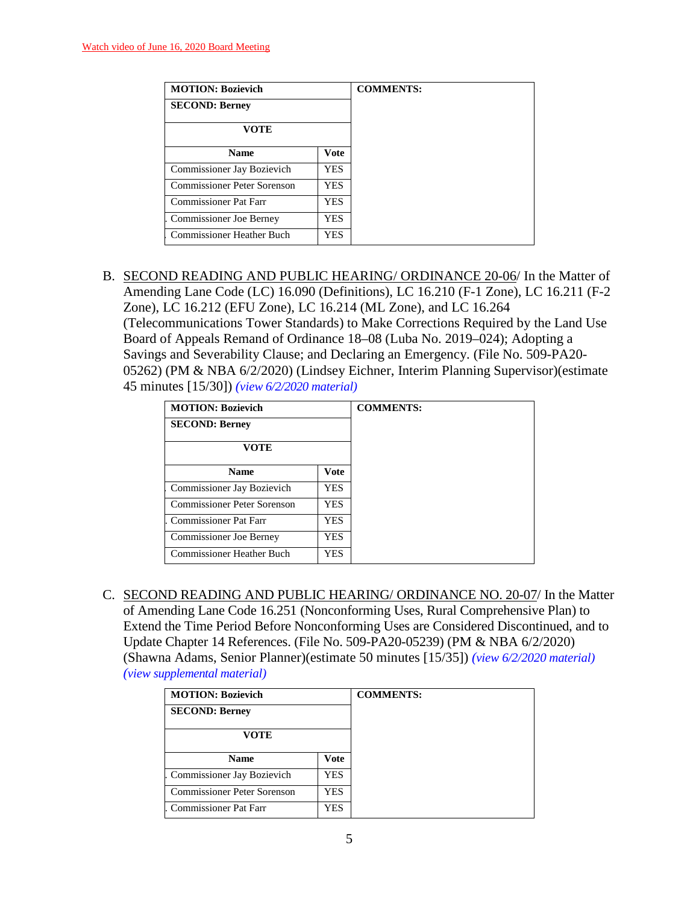| <b>MOTION: Bozievich</b>           |             | <b>COMMENTS:</b> |
|------------------------------------|-------------|------------------|
| <b>SECOND: Berney</b>              |             |                  |
| <b>VOTE</b>                        |             |                  |
| <b>Name</b>                        | <b>Vote</b> |                  |
| Commissioner Jay Bozievich         | <b>YES</b>  |                  |
| <b>Commissioner Peter Sorenson</b> | YES.        |                  |
| <b>Commissioner Pat Farr</b>       | YES.        |                  |
| Commissioner Joe Berney            | <b>YES</b>  |                  |
| <b>Commissioner Heather Buch</b>   | YES.        |                  |

B. SECOND READING AND PUBLIC HEARING/ ORDINANCE 20-06/ In the Matter of Amending Lane Code (LC) 16.090 (Definitions), LC 16.210 (F-1 Zone), LC 16.211 (F-2 Zone), LC 16.212 (EFU Zone), LC 16.214 (ML Zone), and LC 16.264 (Telecommunications Tower Standards) to Make Corrections Required by the Land Use Board of Appeals Remand of Ordinance 18–08 (Luba No. 2019–024); Adopting a Savings and Severability Clause; and Declaring an Emergency. (File No. 509-PA20- 05262) (PM & NBA 6/2/2020) (Lindsey Eichner, Interim Planning Supervisor)(estimate 45 minutes [15/30]) *(view [6/2/2020 material\)](http://www.lanecountyor.gov/UserFiles/Servers/Server_3585797/File/Government/BCC/2020/2020_AGENDAS/060220agenda/T.11.C.pdf)*

| <b>MOTION: Bozievich</b>     |            | <b>COMMENTS:</b> |
|------------------------------|------------|------------------|
| <b>SECOND: Berney</b>        |            |                  |
| VOTE                         |            |                  |
| <b>Name</b>                  | Vote       |                  |
| Commissioner Jay Bozievich   | YES.       |                  |
| Commissioner Peter Sorenson  | <b>YES</b> |                  |
| <b>Commissioner Pat Farr</b> | YES.       |                  |
| Commissioner Joe Berney      | YES.       |                  |
| Commissioner Heather Buch    | <b>YES</b> |                  |

C. SECOND READING AND PUBLIC HEARING/ ORDINANCE NO. 20-07/ In the Matter of Amending Lane Code 16.251 (Nonconforming Uses, Rural Comprehensive Plan) to Extend the Time Period Before Nonconforming Uses are Considered Discontinued, and to Update Chapter 14 References. (File No. 509-PA20-05239) (PM & NBA 6/2/2020) (Shawna Adams, Senior Planner)(estimate 50 minutes [15/35]) *(view 6/2/2020 [material\)](http://www.lanecountyor.gov/UserFiles/Servers/Server_3585797/File/Government/BCC/2020/2020_AGENDAS/060220agenda/T.11.D.pdf) (view [supplemental material\)](http://www.lanecountyor.gov/UserFiles/Servers/Server_3585797/File/Government/BCC/2020/2020_AGENDAS/061620agenda/T.12.CSupp.pdf)*

| <b>MOTION: Bozievich</b>     |      | <b>COMMENTS:</b> |
|------------------------------|------|------------------|
| <b>SECOND: Berney</b>        |      |                  |
| VOTE                         |      |                  |
| <b>Name</b>                  | Vote |                  |
| Commissioner Jay Bozievich   | YES. |                  |
| Commissioner Peter Sorenson  | YES  |                  |
| <b>Commissioner Pat Farr</b> | YES. |                  |